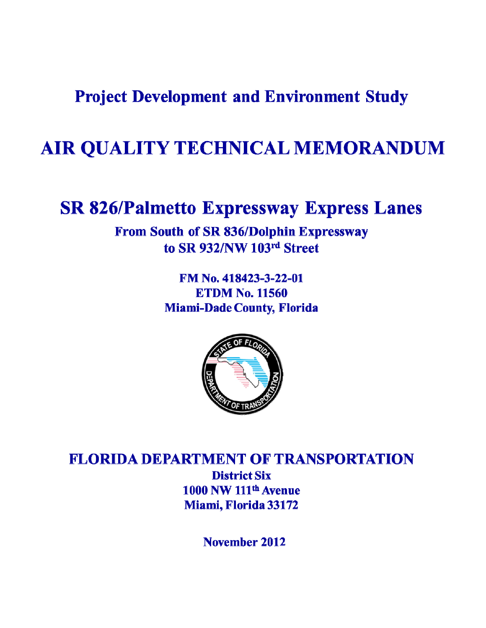**Project Development and Environment Study** 

## AIR QUALITY TECHNICAL MEMORANDUM

## **SR 826/Palmetto Expressway Express Lanes**

From South of SR 836/Dolphin Expressway to SR 932/NW 103rd Street

> FM No. 418423-3-22-01 **ETDM No. 11560 Miami-Dade County, Florida**



**FLORIDA DEPARTMENT OF TRANSPORTATION District Six** 1000 NW 111<sup>th</sup> Avenue Miami, Florida 33172

November 2012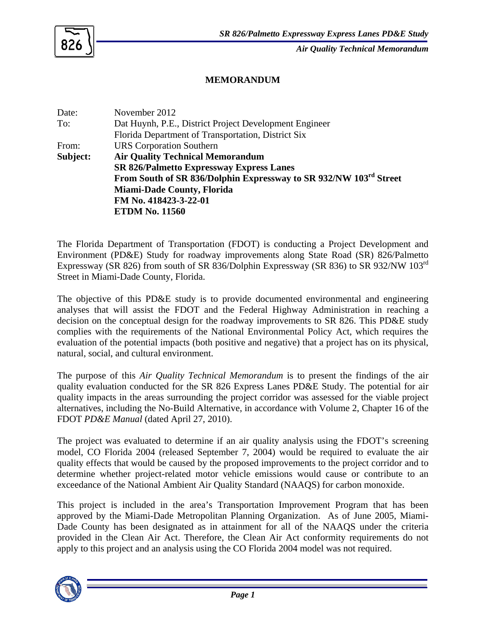

*Air Quality Technical Memorandum*

## **MEMORANDUM**

Date: November 2012 To: Dat Huynh, P.E., District Project Development Engineer Florida Department of Transportation, District Six From: URS Corporation Southern **Subject: Air Quality Technical Memorandum SR 826/Palmetto Expressway Express Lanes From South of SR 836/Dolphin Expressway to SR 932/NW 103rd Street Miami-Dade County, Florida FM No. 418423-3-22-01 ETDM No. 11560** 

The Florida Department of Transportation (FDOT) is conducting a Project Development and Environment (PD&E) Study for roadway improvements along State Road (SR) 826/Palmetto Expressway (SR 826) from south of SR 836/Dolphin Expressway (SR 836) to SR 932/NW 103rd Street in Miami-Dade County, Florida.

The objective of this PD&E study is to provide documented environmental and engineering analyses that will assist the FDOT and the Federal Highway Administration in reaching a decision on the conceptual design for the roadway improvements to SR 826. This PD&E study complies with the requirements of the National Environmental Policy Act, which requires the evaluation of the potential impacts (both positive and negative) that a project has on its physical, natural, social, and cultural environment.

The purpose of this *Air Quality Technical Memorandum* is to present the findings of the air quality evaluation conducted for the SR 826 Express Lanes PD&E Study. The potential for air quality impacts in the areas surrounding the project corridor was assessed for the viable project alternatives, including the No-Build Alternative, in accordance with Volume 2, Chapter 16 of the FDOT *PD&E Manual* (dated April 27, 2010).

The project was evaluated to determine if an air quality analysis using the FDOT's screening model, CO Florida 2004 (released September 7, 2004) would be required to evaluate the air quality effects that would be caused by the proposed improvements to the project corridor and to determine whether project-related motor vehicle emissions would cause or contribute to an exceedance of the National Ambient Air Quality Standard (NAAQS) for carbon monoxide.

This project is included in the area's Transportation Improvement Program that has been approved by the Miami-Dade Metropolitan Planning Organization. As of June 2005, Miami-Dade County has been designated as in attainment for all of the NAAQS under the criteria provided in the Clean Air Act. Therefore, the Clean Air Act conformity requirements do not apply to this project and an analysis using the CO Florida 2004 model was not required.